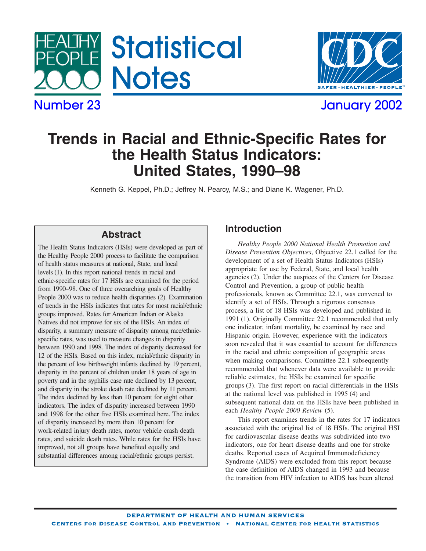



# **Trends in Racial and Ethnic-Specific Rates for the Health Status Indicators: United States, 1990–98**

Kenneth G. Keppel, Ph.D.; Jeffrey N. Pearcy, M.S.; and Diane K. Wagener, Ph.D.

## **Abstract**

The Health Status Indicators (HSIs) were developed as part of the Healthy People 2000 process to facilitate the comparison of health status measures at national, State, and local levels (1). In this report national trends in racial and ethnic-specific rates for 17 HSIs are examined for the period from 1990–98. One of three overarching goals of Healthy People 2000 was to reduce health disparities (2). Examination of trends in the HSIs indicates that rates for most racial/ethnic groups improved. Rates for American Indian or Alaska Natives did not improve for six of the HSIs. An index of disparity, a summary measure of disparity among race/ethnicspecific rates, was used to measure changes in disparity between 1990 and 1998. The index of disparity decreased for 12 of the HSIs. Based on this index, racial/ethnic disparity in the percent of low birthweight infants declined by 19 percent, disparity in the percent of children under 18 years of age in poverty and in the syphilis case rate declined by 13 percent, and disparity in the stroke death rate declined by 11 percent. The index declined by less than 10 percent for eight other indicators. The index of disparity increased between 1990 and 1998 for the other five HSIs examined here. The index of disparity increased by more than 10 percent for work-related injury death rates, motor vehicle crash death rates, and suicide death rates. While rates for the HSIs have improved, not all groups have benefited equally and substantial differences among racial/ethnic groups persist.

## **Introduction**

*Healthy People 2000 National Health Promotion and Disease Prevention Objectives*, Objective 22.1 called for the development of a set of Health Status Indicators (HSIs) appropriate for use by Federal, State, and local health agencies (2). Under the auspices of the Centers for Disease Control and Prevention, a group of public health professionals, known as Committee 22.1, was convened to identify a set of HSIs. Through a rigorous consensus process, a list of 18 HSIs was developed and published in 1991 (1). Originally Committee 22.1 recommended that only one indicator, infant mortality, be examined by race and Hispanic origin. However, experience with the indicators soon revealed that it was essential to account for differences in the racial and ethnic composition of geographic areas when making comparisons. Committee 22.1 subsequently recommended that whenever data were available to provide reliable estimates, the HSIs be examined for specific groups (3). The first report on racial differentials in the HSIs at the national level was published in 1995 (4) and subsequent national data on the HSIs have been published in each *Healthy People 2000 Review* (5).

This report examines trends in the rates for 17 indicators associated with the original list of 18 HSIs. The original HSI for cardiovascular disease deaths was subdivided into two indicators, one for heart disease deaths and one for stroke deaths. Reported cases of Acquired Immunodeficiency Syndrome (AIDS) were excluded from this report because the case definition of AIDS changed in 1993 and because the transition from HIV infection to AIDS has been altered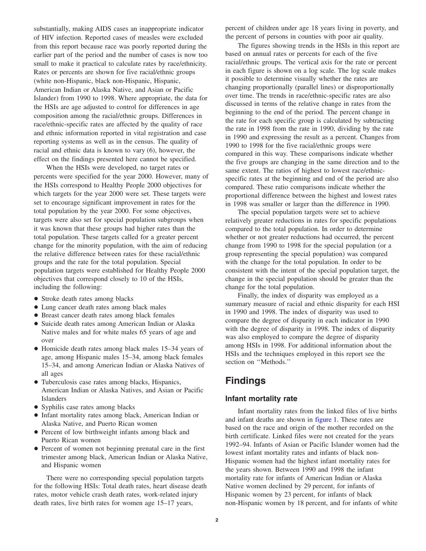substantially, making AIDS cases an inappropriate indicator of HIV infection. Reported cases of measles were excluded from this report because race was poorly reported during the earlier part of the period and the number of cases is now too small to make it practical to calculate rates by race/ethnicity. Rates or percents are shown for five racial/ethnic groups (white non-Hispanic, black non-Hispanic, Hispanic, American Indian or Alaska Native, and Asian or Pacific Islander) from 1990 to 1998. Where appropriate, the data for the HSIs are age adjusted to control for differences in age composition among the racial/ethnic groups. Differences in race/ethnic-specific rates are affected by the quality of race and ethnic information reported in vital registration and case reporting systems as well as in the census. The quality of racial and ethnic data is known to vary (6), however, the effect on the findings presented here cannot be specified.

When the HSIs were developed, no target rates or percents were specified for the year 2000. However, many of the HSIs correspond to Healthy People 2000 objectives for which targets for the year 2000 were set. These targets were set to encourage significant improvement in rates for the total population by the year 2000. For some objectives, targets were also set for special population subgroups when it was known that these groups had higher rates than the total population. These targets called for a greater percent change for the minority population, with the aim of reducing the relative difference between rates for these racial/ethnic groups and the rate for the total population. Special population targets were established for Healthy People 2000 objectives that correspond closely to 10 of the HSIs, including the following:

- Stroke death rates among blacks
- Lung cancer death rates among black males
- Breast cancer death rates among black females
- + Suicide death rates among American Indian or Alaska Native males and for white males 65 years of age and over
- Homicide death rates among black males 15–34 years of age, among Hispanic males 15–34, among black females 15–34, and among American Indian or Alaska Natives of all ages
- + Tuberculosis case rates among blacks, Hispanics, American Indian or Alaska Natives, and Asian or Pacific Islanders
- Syphilis case rates among blacks
- Infant mortality rates among black, American Indian or Alaska Native, and Puerto Rican women
- Percent of low birthweight infants among black and Puerto Rican women
- Percent of women not beginning prenatal care in the first trimester among black, American Indian or Alaska Native, and Hispanic women

There were no corresponding special population targets for the following HSIs: Total death rates, heart disease death rates, motor vehicle crash death rates, work-related injury death rates, live birth rates for women age 15–17 years,

percent of children under age 18 years living in poverty, and the percent of persons in counties with poor air quality.

The figures showing trends in the HSIs in this report are based on annual rates or percents for each of the five racial/ethnic groups. The vertical axis for the rate or percent in each figure is shown on a log scale. The log scale makes it possible to determine visually whether the rates are changing proportionally (parallel lines) or disproportionally over time. The trends in race/ethnic-specific rates are also discussed in terms of the relative change in rates from the beginning to the end of the period. The percent change in the rate for each specific group is calculated by subtracting the rate in 1998 from the rate in 1990, dividing by the rate in 1990 and expressing the result as a percent. Changes from 1990 to 1998 for the five racial/ethnic groups were compared in this way. These comparisons indicate whether the five groups are changing in the same direction and to the same extent. The ratios of highest to lowest race/ethnicspecific rates at the beginning and end of the period are also compared. These ratio comparisons indicate whether the proportional difference between the highest and lowest rates in 1998 was smaller or larger than the difference in 1990.

The special population targets were set to achieve relatively greater reductions in rates for specific populations compared to the total population. In order to determine whether or not greater reductions had occurred, the percent change from 1990 to 1998 for the special population (or a group representing the special population) was compared with the change for the total population. In order to be consistent with the intent of the special population target, the change in the special population should be greater than the change for the total population.

Finally, the index of disparity was employed as a summary measure of racial and ethnic disparity for each HSI in 1990 and 1998. The index of disparity was used to compare the degree of disparity in each indicator in 1990 with the degree of disparity in 1998. The index of disparity was also employed to compare the degree of disparity among HSIs in 1998. For additional information about the HSIs and the techniques employed in this report see the section on ''Methods.''

## **Findings**

## **Infant mortality rate**

Infant mortality rates from the linked files of live births and infant deaths are shown i[n figure 1. T](#page-2-0)hese rates are based on the race and origin of the mother recorded on the birth certificate. Linked files were not created for the years 1992–94. Infants of Asian or Pacific Islander women had the lowest infant mortality rates and infants of black non-Hispanic women had the highest infant mortality rates for the years shown. Between 1990 and 1998 the infant mortality rate for infants of American Indian or Alaska Native women declined by 29 percent, for infants of Hispanic women by 23 percent, for infants of black non-Hispanic women by 18 percent, and for infants of white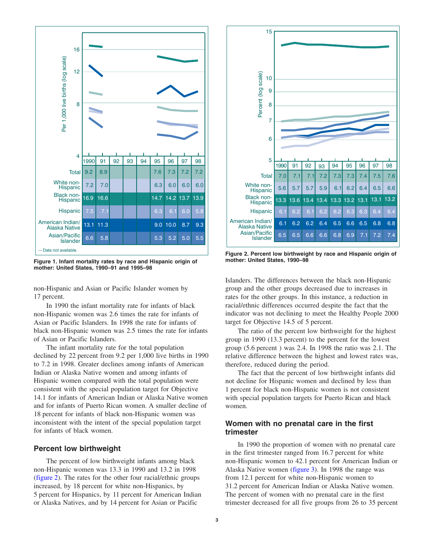<span id="page-2-0"></span>

**Figure 1. Infant mortality rates by race and Hispanic origin of mother: United States, 1990–91 and 1995–98**

non-Hispanic and Asian or Pacific Islander women by 17 percent.

In 1990 the infant mortality rate for infants of black non-Hispanic women was 2.6 times the rate for infants of Asian or Pacific Islanders. In 1998 the rate for infants of black non-Hispanic women was 2.5 times the rate for infants of Asian or Pacific Islanders.

The infant mortality rate for the total population declined by 22 percent from 9.2 per 1,000 live births in 1990 to 7.2 in 1998. Greater declines among infants of American Indian or Alaska Native women and among infants of Hispanic women compared with the total population were consistent with the special population target for Objective 14.1 for infants of American Indian or Alaska Native women and for infants of Puerto Rican women. A smaller decline of 18 percent for infants of black non-Hispanic women was inconsistent with the intent of the special population target for infants of black women.

### **Percent low birthweight**

The percent of low birthweight infants among black non-Hispanic women was 13.3 in 1990 and 13.2 in 1998 (figure 2). The rates for the other four racial/ethnic groups increased, by 18 percent for white non-Hispanics, by 5 percent for Hispanics, by 11 percent for American Indian or Alaska Natives, and by 14 percent for Asian or Pacific



**Figure 2. Percent low birthweight by race and Hispanic origin of mother: United States, 1990–98**

Islanders. The differences between the black non-Hispanic group and the other groups decreased due to increases in rates for the other groups. In this instance, a reduction in racial/ethnic differences occurred despite the fact that the indicator was not declining to meet the Healthy People 2000 target for Objective 14.5 of 5 percent.

The ratio of the percent low birthweight for the highest group in 1990 (13.3 percent) to the percent for the lowest group (5.6 percent ) was 2.4. In 1998 the ratio was 2.1. The relative difference between the highest and lowest rates was, therefore, reduced during the period.

The fact that the percent of low birthweight infants did not decline for Hispanic women and declined by less than 1 percent for black non-Hispanic women is not consistent with special population targets for Puerto Rican and black women.

## **Women with no prenatal care in the first trimester**

In 1990 the proportion of women with no prenatal care in the first trimester ranged from 16.7 percent for white non-Hispanic women to 42.1 percent for American Indian or Alaska Native wome[n \(figure 3\).](#page-3-0) In 1998 the range was from 12.1 percent for white non-Hispanic women to 31.2 percent for American Indian or Alaska Native women. The percent of women with no prenatal care in the first trimester decreased for all five groups from 26 to 35 percent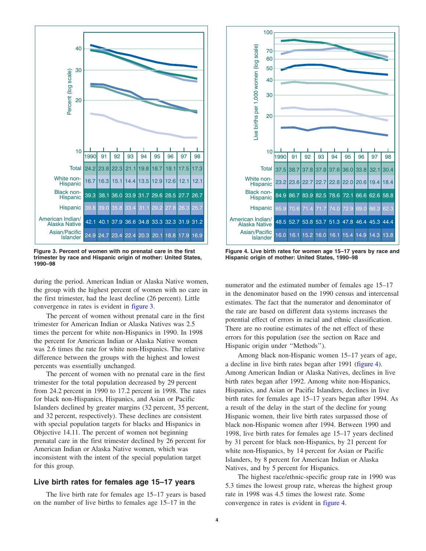<span id="page-3-0"></span>

**Figure 3. Percent of women with no prenatal care in the first trimester by race and Hispanic origin of mother: United States, 1990–98**

during the period. American Indian or Alaska Native women, the group with the highest percent of women with no care in the first trimester, had the least decline (26 percent). Little convergence in rates is evident in figure 3.

The percent of women without prenatal care in the first trimester for American Indian or Alaska Natives was 2.5 times the percent for white non-Hispanics in 1990. In 1998 the percent for American Indian or Alaska Native women was 2.6 times the rate for white non-Hispanics. The relative difference between the groups with the highest and lowest percents was essentially unchanged.

The percent of women with no prenatal care in the first trimester for the total population decreased by 29 percent from 24.2 percent in 1990 to 17.2 percent in 1998. The rates for black non-Hispanics, Hispanics, and Asian or Pacific Islanders declined by greater margins (32 percent, 35 percent, and 32 percent, respectively). These declines are consistent with special population targets for blacks and Hispanics in Objective 14.11. The percent of women not beginning prenatal care in the first trimester declined by 26 percent for American Indian or Alaska Native women, which was inconsistent with the intent of the special population target for this group.

## **Live birth rates for females age 15–17 years**

The live birth rate for females age 15–17 years is based on the number of live births to females age 15–17 in the



**Figure 4. Live birth rates for women age 15–17 years by race and Hispanic origin of mother: United States, 1990–98**

numerator and the estimated number of females age 15–17 in the denominator based on the 1990 census and intercensal estimates. The fact that the numerator and denominator of the rate are based on different data systems increases the potential effect of errors in racial and ethnic classification. There are no routine estimates of the net effect of these errors for this population (see the section on Race and Hispanic origin under ''Methods'').

Among black non-Hispanic women 15–17 years of age, a decline in live birth rates began after 1991 (figure 4). Among American Indian or Alaska Natives, declines in live birth rates began after 1992. Among white non-Hispanics, Hispanics, and Asian or Pacific Islanders, declines in live birth rates for females age 15–17 years began after 1994. As a result of the delay in the start of the decline for young Hispanic women, their live birth rates surpassed those of black non-Hispanic women after 1994. Between 1990 and 1998, live birth rates for females age 15–17 years declined by 31 percent for black non-Hispanics, by 21 percent for white non-Hispanics, by 14 percent for Asian or Pacific Islanders, by 8 percent for American Indian or Alaska Natives, and by 5 percent for Hispanics.

The highest race/ethnic-specific group rate in 1990 was 5.3 times the lowest group rate, whereas the highest group rate in 1998 was 4.5 times the lowest rate. Some convergence in rates is evident in figure 4.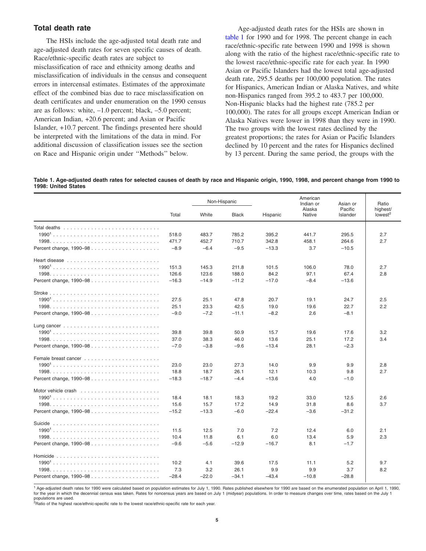## <span id="page-4-0"></span>**Total death rate**

The HSIs include the age-adjusted total death rate and age-adjusted death rates for seven specific causes of death. Race/ethnic-specific death rates are subject to misclassification of race and ethnicity among deaths and misclassification of individuals in the census and consequent errors in intercensal estimates. Estimates of the approximate effect of the combined bias due to race misclassification on death certificates and under enumeration on the 1990 census are as follows: white, –1.0 percent; black, –5.0 percent; American Indian, +20.6 percent; and Asian or Pacific Islander, +10.7 percent. The findings presented here should be interpreted with the limitations of the data in mind. For additional discussion of classification issues see the section on Race and Hispanic origin under ''Methods'' below.

Age-adjusted death rates for the HSIs are shown in table 1 for 1990 and for 1998. The percent change in each race/ethnic-specific rate between 1990 and 1998 is shown along with the ratio of the highest race/ethnic-specific rate to the lowest race/ethnic-specific rate for each year. In 1990 Asian or Pacific Islanders had the lowest total age-adjusted death rate, 295.5 deaths per 100,000 population. The rates for Hispanics, American Indian or Alaska Natives, and white non-Hispanics ranged from 395.2 to 483.7 per 100,000. Non-Hispanic blacks had the highest rate (785.2 per 100,000). The rates for all groups except American Indian or Alaska Natives were lower in 1998 than they were in 1990. The two groups with the lowest rates declined by the greatest proportions; the rates for Asian or Pacific Islanders declined by 10 percent and the rates for Hispanics declined by 13 percent. During the same period, the groups with the

Table 1. Age-adjusted death rates for selected causes of death by race and Hispanic origin, 1990, 1998, and percent change from 1990 to **1998: United States**

|                                                                              |         | Non-Hispanic |              |          | American<br>Indian or | Asian or            | Ratio                           |
|------------------------------------------------------------------------------|---------|--------------|--------------|----------|-----------------------|---------------------|---------------------------------|
|                                                                              | Total   | White        | <b>Black</b> | Hispanic | Alaska<br>Native      | Pacific<br>Islander | highest/<br>lowest <sup>2</sup> |
|                                                                              |         |              |              |          |                       |                     |                                 |
|                                                                              | 518.0   | 483.7        | 785.2        | 395.2    | 441.7                 | 295.5               | 2.7                             |
|                                                                              | 471.7   | 452.7        | 710.7        | 342.8    | 458.1                 | 264.6               | 2.7                             |
|                                                                              | $-8.9$  | $-6.4$       | $-9.5$       | $-13.3$  | 3.7                   | $-10.5$             |                                 |
| Heart disease $\ldots \ldots \ldots \ldots \ldots \ldots \ldots$             |         |              |              |          |                       |                     |                                 |
|                                                                              | 151.3   | 145.3        | 211.8        | 101.5    | 106.0                 | 78.0                | 2.7                             |
|                                                                              | 126.6   | 123.6        | 188.0        | 84.2     | 97.1                  | 67.4                | 2.8                             |
| Percent change, 1990–98                                                      | $-16.3$ | $-14.9$      | $-11.2$      | $-17.0$  | $-8.4$                | $-13.6$             |                                 |
|                                                                              |         |              |              |          |                       |                     |                                 |
|                                                                              | 27.5    | 25.1         | 47.8         | 20.7     | 19.1                  | 24.7                | 2.5                             |
|                                                                              | 25.1    | 23.3         | 42.5         | 19.0     | 19.6                  | 22.7                | 2.2                             |
| Percent change, 1990–98                                                      | $-9.0$  | $-7.2$       | $-11.1$      | $-8.2$   | 2.6                   | $-8.1$              |                                 |
| Lung cancer $\ldots \ldots \ldots \ldots \ldots \ldots \ldots \ldots \ldots$ |         |              |              |          |                       |                     |                                 |
|                                                                              | 39.8    | 39.8         | 50.9         | 15.7     | 19.6                  | 17.6                | 3.2                             |
|                                                                              | 37.0    | 38.3         | 46.0         | 13.6     | 25.1                  | 17.2                | 3.4                             |
| Percent change, 1990–98                                                      | $-7.0$  | $-3.8$       | $-9.6$       | $-13.4$  | 28.1                  | $-2.3$              |                                 |
|                                                                              |         |              |              |          |                       |                     |                                 |
|                                                                              | 23.0    | 23.0         | 27.3         | 14.0     | 9.9                   | 9.9                 | 2.8                             |
|                                                                              | 18.8    | 18.7         | 26.1         | 12.1     | 10.3                  | 9.8                 | 2.7                             |
|                                                                              | $-18.3$ | $-18.7$      | $-4.4$       | $-13.6$  | 4.0                   | $-1.0$              |                                 |
|                                                                              |         |              |              |          |                       |                     |                                 |
|                                                                              | 18.4    | 18.1         | 18.3         | 19.2     | 33.0                  | 12.5                | 2.6                             |
|                                                                              | 15.6    | 15.7         | 17.2         | 14.9     | 31.8                  | 8.6                 | 3.7                             |
| Percent change, 1990–98                                                      | $-15.2$ | $-13.3$      | $-6.0$       | $-22.4$  | $-3.6$                | $-31.2$             |                                 |
|                                                                              |         |              |              |          |                       |                     |                                 |
|                                                                              | 11.5    | 12.5         | 7.0          | 7.2      | 12.4                  | 6.0                 | 2.1                             |
|                                                                              | 10.4    | 11.8         | 6.1          | 6.0      | 13.4                  | 5.9                 | 2.3                             |
| Percent change, 1990-98                                                      | $-9.6$  | $-5.6$       | $-12.9$      | $-16.7$  | 8.1                   | $-1.7$              |                                 |
|                                                                              |         |              |              |          |                       |                     |                                 |
|                                                                              | 10.2    | 4.1          | 39.6         | 17.5     | 11.1                  | 5.2                 | 9.7                             |
|                                                                              | 7.3     | 3.2          | 26.1         | 9.9      | 9.9                   | 3.7                 | 8.2                             |
|                                                                              | $-28.4$ | $-22.0$      | $-34.1$      | $-43.4$  | $-10.8$               | $-28.8$             |                                 |

<sup>1</sup> Age-adjusted death rates for 1990 were calculated based on population estimates for July 1, 1990. Rates published elsewhere for 1990 are based on the enumerated population on April 1, 1990, for the year in which the decennial census was taken. Rates for noncensus years are based on July 1 (midyear) populations. In order to measure changes over time, rates based on the July 1

populations are used.<br><sup>2</sup>Ratio of the highest race/ethnic-specific rate to the lowest race/ethnic-specific rate for each year.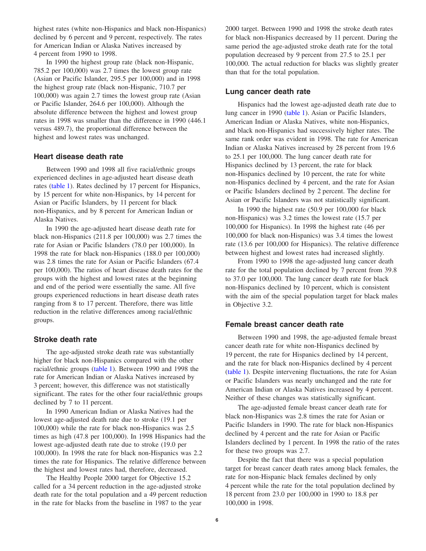highest rates (white non-Hispanics and black non-Hispanics) declined by 6 percent and 9 percent, respectively. The rates for American Indian or Alaska Natives increased by 4 percent from 1990 to 1998.

In 1990 the highest group rate (black non-Hispanic, 785.2 per 100,000) was 2.7 times the lowest group rate (Asian or Pacific Islander, 295.5 per 100,000) and in 1998 the highest group rate (black non-Hispanic, 710.7 per 100,000) was again 2.7 times the lowest group rate (Asian or Pacific Islander, 264.6 per 100,000). Although the absolute difference between the highest and lowest group rates in 1998 was smaller than the difference in 1990 (446.1 versus 489.7), the proportional difference between the highest and lowest rates was unchanged.

## **Heart disease death rate**

Between 1990 and 1998 all five racial/ethnic groups experienced declines in age-adjusted heart disease death rates [\(table 1\).](#page-4-0) Rates declined by 17 percent for Hispanics, by 15 percent for white non-Hispanics, by 14 percent for Asian or Pacific Islanders, by 11 percent for black non-Hispanics, and by 8 percent for American Indian or Alaska Natives.

In 1990 the age-adjusted heart disease death rate for black non-Hispanics (211.8 per 100,000) was 2.7 times the rate for Asian or Pacific Islanders (78.0 per 100,000). In 1998 the rate for black non-Hispanics (188.0 per 100,000) was 2.8 times the rate for Asian or Pacific Islanders (67.4 per 100,000). The ratios of heart disease death rates for the groups with the highest and lowest rates at the beginning and end of the period were essentially the same. All five groups experienced reductions in heart disease death rates ranging from 8 to 17 percent. Therefore, there was little reduction in the relative differences among racial/ethnic groups.

### **Stroke death rate**

The age-adjusted stroke death rate was substantially higher for black non-Hispanics compared with the other racial/ethnic group[s \(table 1\). B](#page-4-0)etween 1990 and 1998 the rate for American Indian or Alaska Natives increased by 3 percent; however, this difference was not statistically significant. The rates for the other four racial/ethnic groups declined by 7 to 11 percent.

In 1990 American Indian or Alaska Natives had the lowest age-adjusted death rate due to stroke (19.1 per 100,000) while the rate for black non-Hispanics was 2.5 times as high (47.8 per 100,000). In 1998 Hispanics had the lowest age-adjusted death rate due to stroke (19.0 per 100,000). In 1998 the rate for black non-Hispanics was 2.2 times the rate for Hispanics. The relative difference between the highest and lowest rates had, therefore, decreased.

The Healthy People 2000 target for Objective 15.2 called for a 34 percent reduction in the age-adjusted stroke death rate for the total population and a 49 percent reduction in the rate for blacks from the baseline in 1987 to the year

2000 target. Between 1990 and 1998 the stroke death rates for black non-Hispanics decreased by 11 percent. During the same period the age-adjusted stroke death rate for the total population decreased by 9 percent from 27.5 to 25.1 per 100,000. The actual reduction for blacks was slightly greater than that for the total population.

### **Lung cancer death rate**

Hispanics had the lowest age-adjusted death rate due to lung cancer in 199[0 \(table 1\). A](#page-4-0)sian or Pacific Islanders, American Indian or Alaska Natives, white non-Hispanics, and black non-Hispanics had successively higher rates. The same rank order was evident in 1998. The rate for American Indian or Alaska Natives increased by 28 percent from 19.6 to 25.1 per 100,000. The lung cancer death rate for Hispanics declined by 13 percent, the rate for black non-Hispanics declined by 10 percent, the rate for white non-Hispanics declined by 4 percent, and the rate for Asian or Pacific Islanders declined by 2 percent. The decline for Asian or Pacific Islanders was not statistically significant.

In 1990 the highest rate (50.9 per 100,000 for black non-Hispanics) was 3.2 times the lowest rate (15.7 per 100,000 for Hispanics). In 1998 the highest rate (46 per 100,000 for black non-Hispanics) was 3.4 times the lowest rate (13.6 per 100,000 for Hispanics). The relative difference between highest and lowest rates had increased slightly.

From 1990 to 1998 the age-adjusted lung cancer death rate for the total population declined by 7 percent from 39.8 to 37.0 per 100,000. The lung cancer death rate for black non-Hispanics declined by 10 percent, which is consistent with the aim of the special population target for black males in Objective 3.2.

### **Female breast cancer death rate**

Between 1990 and 1998, the age-adjusted female breast cancer death rate for white non-Hispanics declined by 19 percent, the rate for Hispanics declined by 14 percent, and the rate for black non-Hispanics declined by 4 percent [\(table 1\). D](#page-4-0)espite intervening fluctuations, the rate for Asian or Pacific Islanders was nearly unchanged and the rate for American Indian or Alaska Natives increased by 4 percent. Neither of these changes was statistically significant.

The age-adjusted female breast cancer death rate for black non-Hispanics was 2.8 times the rate for Asian or Pacific Islanders in 1990. The rate for black non-Hispanics declined by 4 percent and the rate for Asian or Pacific Islanders declined by 1 percent. In 1998 the ratio of the rates for these two groups was 2.7.

Despite the fact that there was a special population target for breast cancer death rates among black females, the rate for non-Hispanic black females declined by only 4 percent while the rate for the total population declined by 18 percent from 23.0 per 100,000 in 1990 to 18.8 per 100,000 in 1998.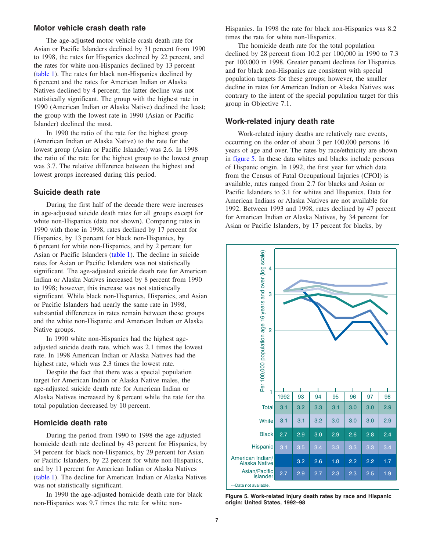### <span id="page-6-0"></span>**Motor vehicle crash death rate**

The age-adjusted motor vehicle crash death rate for Asian or Pacific Islanders declined by 31 percent from 1990 to 1998, the rates for Hispanics declined by 22 percent, and the rates for white non-Hispanics declined by 13 percent [\(table 1\). T](#page-4-0)he rates for black non-Hispanics declined by 6 percent and the rates for American Indian or Alaska Natives declined by 4 percent; the latter decline was not statistically significant. The group with the highest rate in 1990 (American Indian or Alaska Native) declined the least; the group with the lowest rate in 1990 (Asian or Pacific Islander) declined the most.

In 1990 the ratio of the rate for the highest group (American Indian or Alaska Native) to the rate for the lowest group (Asian or Pacific Islander) was 2.6. In 1998 the ratio of the rate for the highest group to the lowest group was 3.7. The relative difference between the highest and lowest groups increased during this period.

#### **Suicide death rate**

During the first half of the decade there were increases in age-adjusted suicide death rates for all groups except for white non-Hispanics (data not shown). Comparing rates in 1990 with those in 1998, rates declined by 17 percent for Hispanics, by 13 percent for black non-Hispanics, by 6 percent for white non-Hispanics, and by 2 percent for Asian or Pacific Islanders [\(table 1\). T](#page-4-0)he decline in suicide rates for Asian or Pacific Islanders was not statistically significant. The age-adjusted suicide death rate for American Indian or Alaska Natives increased by 8 percent from 1990 to 1998; however, this increase was not statistically significant. While black non-Hispanics, Hispanics, and Asian or Pacific Islanders had nearly the same rate in 1998, substantial differences in rates remain between these groups and the white non-Hispanic and American Indian or Alaska Native groups.

In 1990 white non-Hispanics had the highest ageadjusted suicide death rate, which was 2.1 times the lowest rate. In 1998 American Indian or Alaska Natives had the highest rate, which was 2.3 times the lowest rate.

Despite the fact that there was a special population target for American Indian or Alaska Native males, the age-adjusted suicide death rate for American Indian or Alaska Natives increased by 8 percent while the rate for the total population decreased by 10 percent.

#### **Homicide death rate**

During the period from 1990 to 1998 the age-adjusted homicide death rate declined by 43 percent for Hispanics, by 34 percent for black non-Hispanics, by 29 percent for Asian or Pacific Islanders, by 22 percent for white non-Hispanics, and by 11 percent for American Indian or Alaska Natives [\(table 1\). T](#page-4-0)he decline for American Indian or Alaska Natives was not statistically significant.

In 1990 the age-adjusted homicide death rate for black non-Hispanics was 9.7 times the rate for white nonHispanics. In 1998 the rate for black non-Hispanics was 8.2 times the rate for white non-Hispanics.

The homicide death rate for the total population declined by 28 percent from 10.2 per 100,000 in 1990 to 7.3 per 100,000 in 1998. Greater percent declines for Hispanics and for black non-Hispanics are consistent with special population targets for these groups; however, the smaller decline in rates for American Indian or Alaska Natives was contrary to the intent of the special population target for this group in Objective 7.1.

#### **Work-related injury death rate**

Work-related injury deaths are relatively rare events, occurring on the order of about 3 per 100,000 persons 16 years of age and over. The rates by race/ethnicity are shown in figure 5. In these data whites and blacks include persons of Hispanic origin. In 1992, the first year for which data from the Census of Fatal Occupational Injuries (CFOI) is available, rates ranged from 2.7 for blacks and Asian or Pacific Islanders to 3.1 for whites and Hispanics. Data for American Indians or Alaska Natives are not available for 1992. Between 1993 and 1998, rates declined by 47 percent for American Indian or Alaska Natives, by 34 percent for Asian or Pacific Islanders, by 17 percent for blacks, by



**Figure 5. Work-related injury death rates by race and Hispanic origin: United States, 1992–98**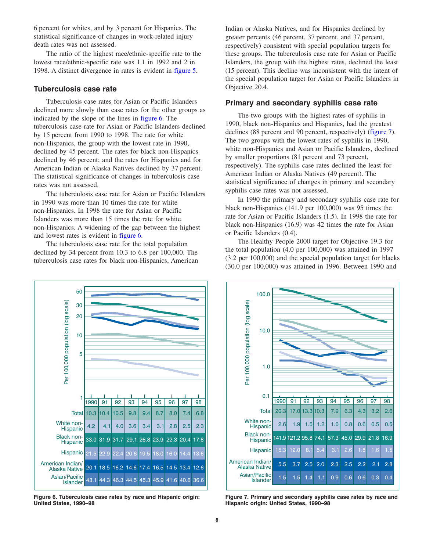<span id="page-7-0"></span>6 percent for whites, and by 3 percent for Hispanics. The statistical significance of changes in work-related injury death rates was not assessed.

The ratio of the highest race/ethnic-specific rate to the lowest race/ethnic-specific rate was 1.1 in 1992 and 2 in 1998. A distinct divergence in rates is evident i[n figure 5.](#page-6-0) 

### **Tuberculosis case rate**

Tuberculosis case rates for Asian or Pacific Islanders declined more slowly than case rates for the other groups as indicated by the slope of the lines in figure 6. The tuberculosis case rate for Asian or Pacific Islanders declined by 15 percent from 1990 to 1998. The rate for white non-Hispanics, the group with the lowest rate in 1990, declined by 45 percent. The rates for black non-Hispanics declined by 46 percent; and the rates for Hispanics and for American Indian or Alaska Natives declined by 37 percent. The statistical significance of changes in tuberculosis case rates was not assessed.

The tuberculosis case rate for Asian or Pacific Islanders in 1990 was more than 10 times the rate for white non-Hispanics. In 1998 the rate for Asian or Pacific Islanders was more than 15 times the rate for white non-Hispanics. A widening of the gap between the highest and lowest rates is evident in figure 6.

The tuberculosis case rate for the total population declined by 34 percent from 10.3 to 6.8 per 100,000. The tuberculosis case rates for black non-Hispanics, American

Indian or Alaska Natives, and for Hispanics declined by greater percents (46 percent, 37 percent, and 37 percent, respectively) consistent with special population targets for these groups. The tuberculosis case rate for Asian or Pacific Islanders, the group with the highest rates, declined the least (15 percent). This decline was inconsistent with the intent of the special population target for Asian or Pacific Islanders in Objective 20.4.

### **Primary and secondary syphilis case rate**

The two groups with the highest rates of syphilis in 1990, black non-Hispanics and Hispanics, had the greatest declines (88 percent and 90 percent, respectively) (figure 7). The two groups with the lowest rates of syphilis in 1990, white non-Hispanics and Asian or Pacific Islanders, declined by smaller proportions (81 percent and 73 percent, respectively). The syphilis case rates declined the least for American Indian or Alaska Natives (49 percent). The statistical significance of changes in primary and secondary syphilis case rates was not assessed.

In 1990 the primary and secondary syphilis case rate for black non-Hispanics (141.9 per 100,000) was 95 times the rate for Asian or Pacific Islanders (1.5). In 1998 the rate for black non-Hispanics (16.9) was 42 times the rate for Asian or Pacific Islanders (0.4).

The Healthy People 2000 target for Objective 19.3 for the total population (4.0 per 100,000) was attained in 1997 (3.2 per 100,000) and the special population target for blacks (30.0 per 100,000) was attained in 1996. Between 1990 and



**Figure 6. Tuberculosis case rates by race and Hispanic origin: United States, 1990–98**



**Figure 7. Primary and secondary syphilis case rates by race and Hispanic origin: United States, 1990–98**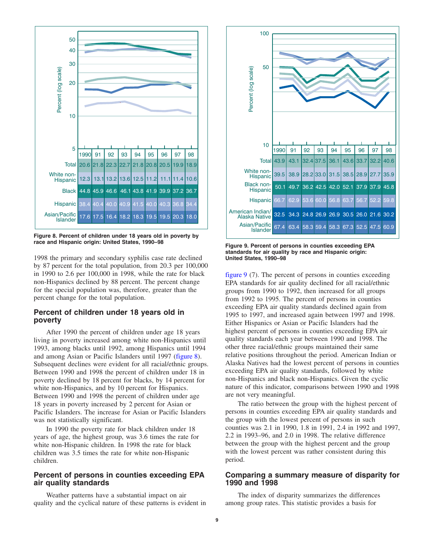

**Figure 8. Percent of children under 18 years old in poverty by race and Hispanic origin: United States, 1990–98**

1998 the primary and secondary syphilis case rate declined by 87 percent for the total population, from 20.3 per 100,000 in 1990 to 2.6 per 100,000 in 1998, while the rate for black non-Hispanics declined by 88 percent. The percent change for the special population was, therefore, greater than the percent change for the total population.

## **Percent of children under 18 years old in poverty**

After 1990 the percent of children under age 18 years living in poverty increased among white non-Hispanics until 1993, among blacks until 1992, among Hispanics until 1994 and among Asian or Pacific Islanders until 1997 (figure 8). Subsequent declines were evident for all racial/ethnic groups. Between 1990 and 1998 the percent of children under 18 in poverty declined by 18 percent for blacks, by 14 percent for white non-Hispanics, and by 10 percent for Hispanics. Between 1990 and 1998 the percent of children under age 18 years in poverty increased by 2 percent for Asian or Pacific Islanders. The increase for Asian or Pacific Islanders was not statistically significant.

In 1990 the poverty rate for black children under 18 years of age, the highest group, was 3.6 times the rate for white non-Hispanic children. In 1998 the rate for black children was 3.5 times the rate for white non-Hispanic children.

## **Percent of persons in counties exceeding EPA air quality standards**

Weather patterns have a substantial impact on air quality and the cyclical nature of these patterns is evident in



**Figure 9. Percent of persons in counties exceeding EPA standards for air quality by race and Hispanic origin: United States, 1990–98**

figure 9 (7). The percent of persons in counties exceeding EPA standards for air quality declined for all racial/ethnic groups from 1990 to 1992, then increased for all groups from 1992 to 1995. The percent of persons in counties exceeding EPA air quality standards declined again from 1995 to 1997, and increased again between 1997 and 1998. Either Hispanics or Asian or Pacific Islanders had the highest percent of persons in counties exceeding EPA air quality standards each year between 1990 and 1998. The other three racial/ethnic groups maintained their same relative positions throughout the period. American Indian or Alaska Natives had the lowest percent of persons in counties exceeding EPA air quality standards, followed by white non-Hispanics and black non-Hispanics. Given the cyclic nature of this indicator, comparisons between 1990 and 1998 are not very meaningful.

The ratio between the group with the highest percent of persons in counties exceeding EPA air quality standards and the group with the lowest percent of persons in such counties was 2.1 in 1990, 1.8 in 1991, 2.4 in 1992 and 1997, 2.2 in 1993–96, and 2.0 in 1998. The relative difference between the group with the highest percent and the group with the lowest percent was rather consistent during this period.

## **Comparing a summary measure of disparity for 1990 and 1998**

The index of disparity summarizes the differences among group rates. This statistic provides a basis for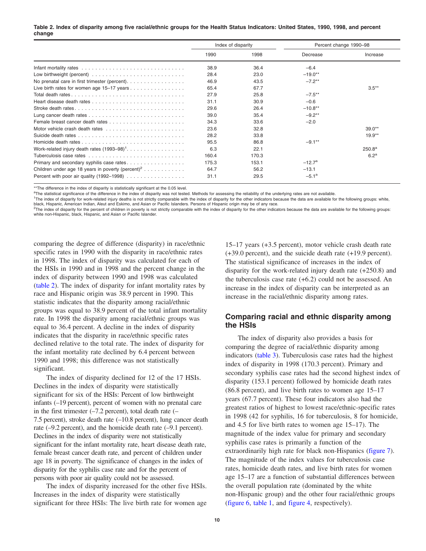#### Table 2. Index of disparity among five racial/ethnic groups for the Health Status Indicators: United States, 1990, 1998, and percent **change**

|                                                               | Index of disparity |       | Percent change 1990-98 |                  |
|---------------------------------------------------------------|--------------------|-------|------------------------|------------------|
|                                                               | 1990               | 1998  | Decrease               | Increase         |
|                                                               | 38.9               | 36.4  | $-6.4$                 |                  |
|                                                               | 28.4               | 23.0  | $-19.0**$              |                  |
| No prenatal care in first trimester (percent).                | 46.9               | 43.5  | $-7.2**$               |                  |
| Live birth rates for women age 15-17 years                    | 65.4               | 67.7  |                        | $3.5***$         |
|                                                               | 27.9               | 25.8  | $-7.5***$              |                  |
|                                                               | 31.1               | 30.9  | $-0.6$                 |                  |
| Stroke death rates                                            | 29.6               | 26.4  | $-10.8**$              |                  |
|                                                               | 39.0               | 35.4  | $-9.2**$               |                  |
|                                                               | 34.3               | 33.6  | $-2.0$                 |                  |
|                                                               | 23.6               | 32.8  |                        | $39.0**$         |
|                                                               | 28.2               | 33.8  |                        | $19.9**$         |
|                                                               | 95.5               | 86.8  | $-9.1***$              |                  |
|                                                               | 6.3                | 22.1  |                        | $250.8^{\rm a}$  |
|                                                               | 160.4              | 170.3 |                        | 6.2 <sup>a</sup> |
| Primary and secondary syphilis case rates                     | 175.3              | 153.1 | $-12.7^{\rm a}$        |                  |
| Children under age 18 years in poverty (percent) <sup>2</sup> | 64.7               | 56.2  | $-13.1$                |                  |
|                                                               | 31.1               | 29.5  | $-5.1^a$               |                  |

\*\*The difference in the index of disparity is statistically significant at the 0.05 level.

<sup>a</sup>The statistical significance of the difference in the index of disparity was not tested. Methods for assessing the reliability of the underlying rates are not available.

<sup>1</sup>The index of disparity for work-related injury deaths is not strictly comparable with the index of disparity for the other indicators because the data are available for the following groups: white,<br>black, Hispanic, Amer

<sup>2</sup>The index of disparity for the percent of children in poverty is not strictly comparable with the index of disparity for the other indicators because the data are available for the following groups: white non-Hispanic, black, Hispanic, and Asian or Pacific Islander.

comparing the degree of difference (disparity) in race/ethnic specific rates in 1990 with the disparity in race/ethnic rates in 1998. The index of disparity was calculated for each of the HSIs in 1990 and in 1998 and the percent change in the index of disparity between 1990 and 1998 was calculated (table 2). The index of disparity for infant mortality rates by race and Hispanic origin was 38.9 percent in 1990. This statistic indicates that the disparity among racial/ethnic groups was equal to 38.9 percent of the total infant mortality rate. In 1998 the disparity among racial/ethnic groups was equal to 36.4 percent. A decline in the index of disparity indicates that the disparity in race/ethnic specific rates declined relative to the total rate. The index of disparity for the infant mortality rate declined by 6.4 percent between 1990 and 1998; this difference was not statistically significant.

The index of disparity declined for 12 of the 17 HSIs. Declines in the index of disparity were statistically significant for six of the HSIs: Percent of low birthweight infants (–19 percent), percent of women with no prenatal care in the first trimester  $(-7.2$  percent), total death rate  $(-$ 7.5 percent), stroke death rate (–10.8 percent), lung cancer death rate (–9.2 percent), and the homicide death rate (–9.1 percent). Declines in the index of disparity were not statistically significant for the infant mortality rate, heart disease death rate, female breast cancer death rate, and percent of children under age 18 in poverty. The significance of changes in the index of disparity for the syphilis case rate and for the percent of persons with poor air quality could not be assessed.

The index of disparity increased for the other five HSIs. Increases in the index of disparity were statistically significant for three HSIs: The live birth rate for women age

15–17 years (+3.5 percent), motor vehicle crash death rate (+39.0 percent), and the suicide death rate (+19.9 percent). The statistical significance of increases in the index of disparity for the work-related injury death rate (+250.8) and the tuberculosis case rate  $(+6.2)$  could not be assessed. An increase in the index of disparity can be interpreted as an increase in the racial/ethnic disparity among rates.

## **Comparing racial and ethnic disparity among the HSIs**

The index of disparity also provides a basis for comparing the degree of racial/ethnic disparity among indicator[s \(table 3\). T](#page-10-0)uberculosis case rates had the highest index of disparity in 1998 (170.3 percent). Primary and secondary syphilis case rates had the second highest index of disparity (153.1 percent) followed by homicide death rates (86.8 percent), and live birth rates to women age 15–17 years (67.7 percent). These four indicators also had the greatest ratios of highest to lowest race/ethnic-specific rates in 1998 (42 for syphilis, 16 for tuberculosis, 8 for homicide, and 4.5 for live birth rates to women age 15–17). The magnitude of the index value for primary and secondary syphilis case rates is primarily a function of the extraordinarily high rate for black non-Hispanics [\(figure 7\).](#page-7-0)  The magnitude of the index values for tuberculosis case rates, homicide death rates, and live birth rates for women age 15–17 are a function of substantial differences between the overall population rate (dominated by the white non-Hispanic group) and the other four racial/ethnic groups [\(figure 6,](#page-7-0) [table 1,](#page-4-0) and [figure 4, r](#page-3-0)espectively).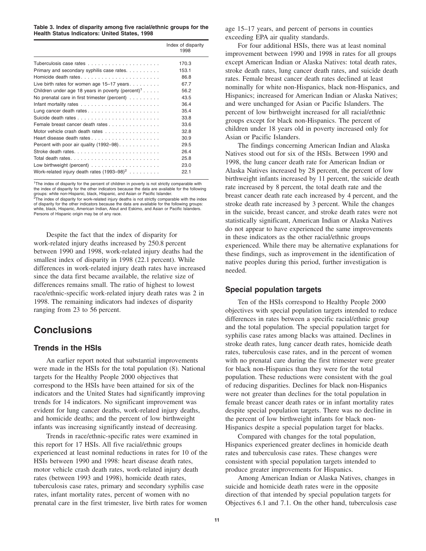#### <span id="page-10-0"></span>**Table 3. Index of disparity among five racial/ethnic groups for the Health Status Indicators: United States, 1998**

|                                                                           | Index of disparity<br>1998 |
|---------------------------------------------------------------------------|----------------------------|
|                                                                           | 170.3                      |
| Primary and secondary syphilis case rates.                                | 153.1                      |
| Homicide death rates                                                      | 86.8                       |
| Live birth rates for women age $15-17$ years                              | 67.7                       |
| Children under age 18 years in poverty (percent) <sup>1</sup>             | 56.2                       |
| No prenatal care in first trimester (percent)                             | 43.5                       |
| Infant mortality rates $\ldots \ldots \ldots \ldots \ldots \ldots \ldots$ | 36.4                       |
|                                                                           | 35.4                       |
|                                                                           | 33.8                       |
| Female breast cancer death rates                                          | 33.6                       |
| Motor vehicle crash death rates                                           | 32.8                       |
|                                                                           | 30.9                       |
| Percent with poor air quality $(1992-98)$                                 | 29.5                       |
|                                                                           | 26.4                       |
| Total death rates                                                         | 25.8                       |
| Low birthweight (percent) $\ldots \ldots \ldots \ldots \ldots \ldots$     | 23.0                       |
| Work-related injury death rates $(1993-98)^2$                             | 22.1                       |

<sup>1</sup>The index of disparity for the percent of children in poverty is not strictly comparable with the index of disparity for the other indicators because the data are available for the following groups: white non-Hispanic, black, Hispanic, and Asian or Pacific Islander. <sup>2</sup>The index of disparity for work-related injury deaths is not strictly comparable with the index<br>of disparity for the other indicators because the data are available for the following groups: white, black, Hispanic, American Indian, Aleut and Eskimo, and Asian or Pacific Islanders. Persons of Hispanic origin may be of any race.

Despite the fact that the index of disparity for work-related injury deaths increased by 250.8 percent between 1990 and 1998, work-related injury deaths had the smallest index of disparity in 1998 (22.1 percent). While differences in work-related injury death rates have increased since the data first became available, the relative size of differences remains small. The ratio of highest to lowest race/ethnic-specific work-related injury death rates was 2 in 1998. The remaining indicators had indexes of disparity ranging from 23 to 56 percent.

## **Conclusions**

## **Trends in the HSIs**

An earlier report noted that substantial improvements were made in the HSIs for the total population (8). National targets for the Healthy People 2000 objectives that correspond to the HSIs have been attained for six of the indicators and the United States had significantly improving trends for 14 indicators. No significant improvement was evident for lung cancer deaths, work-related injury deaths, and homicide deaths; and the percent of low birthweight infants was increasing significantly instead of decreasing.

Trends in race/ethnic-specific rates were examined in this report for 17 HSIs. All five racial/ethnic groups experienced at least nominal reductions in rates for 10 of the HSIs between 1990 and 1998: heart disease death rates, motor vehicle crash death rates, work-related injury death rates (between 1993 and 1998), homicide death rates, tuberculosis case rates, primary and secondary syphilis case rates, infant mortality rates, percent of women with no prenatal care in the first trimester, live birth rates for women

age 15–17 years, and percent of persons in counties exceeding EPA air quality standards.

For four additional HSIs, there was at least nominal improvement between 1990 and 1998 in rates for all groups except American Indian or Alaska Natives: total death rates, stroke death rates, lung cancer death rates, and suicide death rates. Female breast cancer death rates declined at least nominally for white non-Hispanics, black non-Hispanics, and Hispanics; increased for American Indian or Alaska Natives; and were unchanged for Asian or Pacific Islanders. The percent of low birthweight increased for all racial/ethnic groups except for black non-Hispanics. The percent of children under 18 years old in poverty increased only for Asian or Pacific Islanders.

The findings concerning American Indian and Alaska Natives stood out for six of the HSIs. Between 1990 and 1998, the lung cancer death rate for American Indian or Alaska Natives increased by 28 percent, the percent of low birthweight infants increased by 11 percent, the suicide death rate increased by 8 percent, the total death rate and the breast cancer death rate each increased by 4 percent, and the stroke death rate increased by 3 percent. While the changes in the suicide, breast cancer, and stroke death rates were not statistically significant, American Indian or Alaska Natives do not appear to have experienced the same improvements in these indicators as the other racial/ethnic groups experienced. While there may be alternative explanations for these findings, such as improvement in the identification of native peoples during this period, further investigation is needed.

## **Special population targets**

Ten of the HSIs correspond to Healthy People 2000 objectives with special population targets intended to reduce differences in rates between a specific racial/ethnic group and the total population. The special population target for syphilis case rates among blacks was attained. Declines in stroke death rates, lung cancer death rates, homicide death rates, tuberculosis case rates, and in the percent of women with no prenatal care during the first trimester were greater for black non-Hispanics than they were for the total population. These reductions were consistent with the goal of reducing disparities. Declines for black non-Hispanics were not greater than declines for the total population in female breast cancer death rates or in infant mortality rates despite special population targets. There was no decline in the percent of low birthweight infants for black non-Hispanics despite a special population target for blacks.

Compared with changes for the total population, Hispanics experienced greater declines in homicide death rates and tuberculosis case rates. These changes were consistent with special population targets intended to produce greater improvements for Hispanics.

Among American Indian or Alaska Natives, changes in suicide and homicide death rates were in the opposite direction of that intended by special population targets for Objectives 6.1 and 7.1. On the other hand, tuberculosis case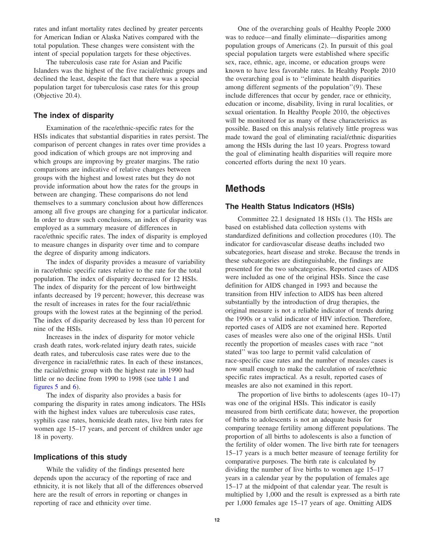rates and infant mortality rates declined by greater percents for American Indian or Alaska Natives compared with the total population. These changes were consistent with the intent of special population targets for these objectives.

The tuberculosis case rate for Asian and Pacific Islanders was the highest of the five racial/ethnic groups and declined the least, despite the fact that there was a special population target for tuberculosis case rates for this group (Objective 20.4).

## **The index of disparity**

Examination of the race/ethnic-specific rates for the HSIs indicates that substantial disparities in rates persist. The comparison of percent changes in rates over time provides a good indication of which groups are not improving and which groups are improving by greater margins. The ratio comparisons are indicative of relative changes between groups with the highest and lowest rates but they do not provide information about how the rates for the groups in between are changing. These comparisons do not lend themselves to a summary conclusion about how differences among all five groups are changing for a particular indicator. In order to draw such conclusions, an index of disparity was employed as a summary measure of differences in race/ethnic specific rates. The index of disparity is employed to measure changes in disparity over time and to compare the degree of disparity among indicators.

The index of disparity provides a measure of variability in race/ethnic specific rates relative to the rate for the total population. The index of disparity decreased for 12 HSIs. The index of disparity for the percent of low birthweight infants decreased by 19 percent; however, this decrease was the result of increases in rates for the four racial/ethnic groups with the lowest rates at the beginning of the period. The index of disparity decreased by less than 10 percent for nine of the HSIs.

Increases in the index of disparity for motor vehicle crash death rates, work-related injury death rates, suicide death rates, and tuberculosis case rates were due to the divergence in racial/ethnic rates. In each of these instances, the racial/ethnic group with the highest rate in 1990 had little or no decline from 1990 to 1998 (see [table 1 an](#page-4-0)d [figures 5](#page-6-0) an[d 6\).](#page-7-0) 

The index of disparity also provides a basis for comparing the disparity in rates among indicators. The HSIs with the highest index values are tuberculosis case rates, syphilis case rates, homicide death rates, live birth rates for women age 15–17 years, and percent of children under age 18 in poverty.

## **Implications of this study**

While the validity of the findings presented here depends upon the accuracy of the reporting of race and ethnicity, it is not likely that all of the differences observed here are the result of errors in reporting or changes in reporting of race and ethnicity over time.

One of the overarching goals of Healthy People 2000 was to reduce—and finally eliminate—disparities among population groups of Americans (2). In pursuit of this goal special population targets were established where specific sex, race, ethnic, age, income, or education groups were known to have less favorable rates. In Healthy People 2010 the overarching goal is to ''eliminate health disparities among different segments of the population''(9). These include differences that occur by gender, race or ethnicity, education or income, disability, living in rural localities, or sexual orientation. In Healthy People 2010, the objectives will be monitored for as many of these characteristics as possible. Based on this analysis relatively little progress was made toward the goal of eliminating racial/ethnic disparities among the HSIs during the last 10 years. Progress toward the goal of eliminating health disparities will require more concerted efforts during the next 10 years.

## **Methods**

## **The Health Status Indicators (HSIs)**

Committee 22.1 designated 18 HSIs (1). The HSIs are based on established data collection systems with standardized definitions and collection procedures (10). The indicator for cardiovascular disease deaths included two subcategories, heart disease and stroke. Because the trends in these subcategories are distinguishable, the findings are presented for the two subcategories. Reported cases of AIDS were included as one of the original HSIs. Since the case definition for AIDS changed in 1993 and because the transition from HIV infection to AIDS has been altered substantially by the introduction of drug therapies, the original measure is not a reliable indicator of trends during the 1990s or a valid indicator of HIV infection. Therefore, reported cases of AIDS are not examined here. Reported cases of measles were also one of the original HSIs. Until recently the proportion of measles cases with race ''not stated'' was too large to permit valid calculation of race-specific case rates and the number of measles cases is now small enough to make the calculation of race/ethnic specific rates impractical. As a result, reported cases of measles are also not examined in this report.

The proportion of live births to adolescents (ages 10–17) was one of the original HSIs. This indicator is easily measured from birth certificate data; however, the proportion of births to adolescents is not an adequate basis for comparing teenage fertility among different populations. The proportion of all births to adolescents is also a function of the fertility of older women. The live birth rate for teenagers 15–17 years is a much better measure of teenage fertility for comparative purposes. The birth rate is calculated by dividing the number of live births to women age 15–17 years in a calendar year by the population of females age 15–17 at the midpoint of that calendar year. The result is multiplied by 1,000 and the result is expressed as a birth rate per 1,000 females age 15–17 years of age. Omitting AIDS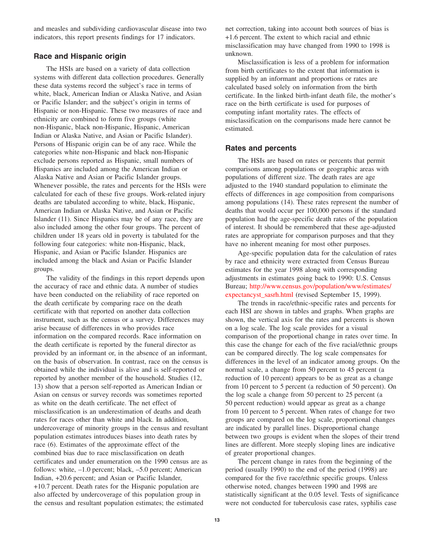and measles and subdividing cardiovascular disease into two indicators, this report presents findings for 17 indicators.

### **Race and Hispanic origin**

The HSIs are based on a variety of data collection systems with different data collection procedures. Generally these data systems record the subject's race in terms of white, black, American Indian or Alaska Native, and Asian or Pacific Islander; and the subject's origin in terms of Hispanic or non-Hispanic. These two measures of race and ethnicity are combined to form five groups (white non-Hispanic, black non-Hispanic, Hispanic, American Indian or Alaska Native, and Asian or Pacific Islander). Persons of Hispanic origin can be of any race. While the categories white non-Hispanic and black non-Hispanic exclude persons reported as Hispanic, small numbers of Hispanics are included among the American Indian or Alaska Native and Asian or Pacific Islander groups. Whenever possible, the rates and percents for the HSIs were calculated for each of these five groups. Work-related injury deaths are tabulated according to white, black, Hispanic, American Indian or Alaska Native, and Asian or Pacific Islander (11). Since Hispanics may be of any race, they are also included among the other four groups. The percent of children under 18 years old in poverty is tabulated for the following four categories: white non-Hispanic, black, Hispanic, and Asian or Pacific Islander. Hispanics are included among the black and Asian or Pacific Islander groups.

The validity of the findings in this report depends upon the accuracy of race and ethnic data. A number of studies have been conducted on the reliability of race reported on the death certificate by comparing race on the death certificate with that reported on another data collection instrument, such as the census or a survey. Differences may arise because of differences in who provides race information on the compared records. Race information on the death certificate is reported by the funeral director as provided by an informant or, in the absence of an informant, on the basis of observation. In contrast, race on the census is obtained while the individual is alive and is self-reported or reported by another member of the household. Studies (12, 13) show that a person self-reported as American Indian or Asian on census or survey records was sometimes reported as white on the death certificate. The net effect of misclassification is an underestimation of deaths and death rates for races other than white and black. In addition, undercoverage of minority groups in the census and resultant population estimates introduces biases into death rates by race (6). Estimates of the approximate effect of the combined bias due to race misclassification on death certificates and under enumeration on the 1990 census are as follows: white,  $-1.0$  percent; black,  $-5.0$  percent; American Indian, +20.6 percent; and Asian or Pacific Islander, +10.7 percent. Death rates for the Hispanic population are also affected by undercoverage of this population group in the census and resultant population estimates; the estimated

net correction, taking into account both sources of bias is +1.6 percent. The extent to which racial and ethnic misclassification may have changed from 1990 to 1998 is unknown.

Misclassification is less of a problem for information from birth certificates to the extent that information is supplied by an informant and proportions or rates are calculated based solely on information from the birth certificate. In the linked birth-infant death file, the mother's race on the birth certificate is used for purposes of computing infant mortality rates. The effects of misclassification on the comparisons made here cannot be estimated.

### **Rates and percents**

The HSIs are based on rates or percents that permit comparisons among populations or geographic areas with populations of different size. The death rates are age adjusted to the 1940 standard population to eliminate the effects of differences in age composition from comparisons among populations (14). These rates represent the number of deaths that would occur per 100,000 persons if the standard population had the age-specific death rates of the population of interest. It should be remembered that these age-adjusted rates are appropriate for comparison purposes and that they have no inherent meaning for most other purposes.

Age-specific population data for the calculation of rates by race and ethnicity were extracted from Census Bureau estimates for the year 1998 along with corresponding adjustments in estimates going back to 1990: U.S. Census [Bureau; http://www.census.gov/population/www/estimates/](http://eire.census.gov/popest/archives/state/st_sasrh.php)  expectancyst\_sasrh.html (revised September 15, 1999).

The trends in race/ethnic-specific rates and percents for each HSI are shown in tables and graphs. When graphs are shown, the vertical axis for the rates and percents is shown on a log scale. The log scale provides for a visual comparison of the proportional change in rates over time. In this case the change for each of the five racial/ethnic groups can be compared directly. The log scale compensates for differences in the level of an indicator among groups. On the normal scale, a change from 50 percent to 45 percent (a reduction of 10 percent) appears to be as great as a change from 10 percent to 5 percent (a reduction of 50 percent). On the log scale a change from 50 percent to 25 percent (a 50 percent reduction) would appear as great as a change from 10 percent to 5 percent. When rates of change for two groups are compared on the log scale, proportional changes are indicated by parallel lines. Disproportional change between two groups is evident when the slopes of their trend lines are different. More steeply sloping lines are indicative of greater proportional changes.

The percent change in rates from the beginning of the period (usually 1990) to the end of the period (1998) are compared for the five race/ethnic specific groups. Unless otherwise noted, changes between 1990 and 1998 are statistically significant at the 0.05 level. Tests of significance were not conducted for tuberculosis case rates, syphilis case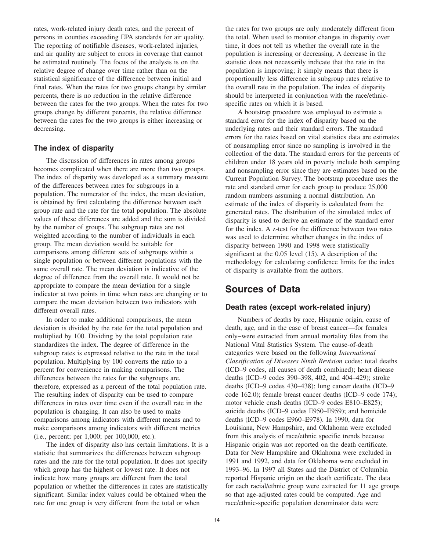rates, work-related injury death rates, and the percent of persons in counties exceeding EPA standards for air quality. The reporting of notifiable diseases, work-related injuries, and air quality are subject to errors in coverage that cannot be estimated routinely. The focus of the analysis is on the relative degree of change over time rather than on the statistical significance of the difference between initial and final rates. When the rates for two groups change by similar percents, there is no reduction in the relative difference between the rates for the two groups. When the rates for two groups change by different percents, the relative difference between the rates for the two groups is either increasing or decreasing.

### **The index of disparity**

The discussion of differences in rates among groups becomes complicated when there are more than two groups. The index of disparity was developed as a summary measure of the differences between rates for subgroups in a population. The numerator of the index, the mean deviation, is obtained by first calculating the difference between each group rate and the rate for the total population. The absolute values of these differences are added and the sum is divided by the number of groups. The subgroup rates are not weighted according to the number of individuals in each group. The mean deviation would be suitable for comparisons among different sets of subgroups within a single population or between different populations with the same overall rate. The mean deviation is indicative of the degree of difference from the overall rate. It would not be appropriate to compare the mean deviation for a single indicator at two points in time when rates are changing or to compare the mean deviation between two indicators with different overall rates.

In order to make additional comparisons, the mean deviation is divided by the rate for the total population and multiplied by 100. Dividing by the total population rate standardizes the index. The degree of difference in the subgroup rates is expressed relative to the rate in the total population. Multiplying by 100 converts the ratio to a percent for convenience in making comparisons. The differences between the rates for the subgroups are, therefore, expressed as a percent of the total population rate. The resulting index of disparity can be used to compare differences in rates over time even if the overall rate in the population is changing. It can also be used to make comparisons among indicators with different means and to make comparisons among indicators with different metrics (i.e., percent; per 1,000; per 100,000, etc.).

The index of disparity also has certain limitations. It is a statistic that summarizes the differences between subgroup rates and the rate for the total population. It does not specify which group has the highest or lowest rate. It does not indicate how many groups are different from the total population or whether the differences in rates are statistically significant. Similar index values could be obtained when the rate for one group is very different from the total or when

the rates for two groups are only moderately different from the total. When used to monitor changes in disparity over time, it does not tell us whether the overall rate in the population is increasing or decreasing. A decrease in the statistic does not necessarily indicate that the rate in the population is improving; it simply means that there is proportionally less difference in subgroup rates relative to the overall rate in the population. The index of disparity should be interpreted in conjunction with the race/ethnicspecific rates on which it is based.

A bootstrap procedure was employed to estimate a standard error for the index of disparity based on the underlying rates and their standard errors. The standard errors for the rates based on vital statistics data are estimates of nonsampling error since no sampling is involved in the collection of the data. The standard errors for the percents of children under 18 years old in poverty include both sampling and nonsampling error since they are estimates based on the Current Population Survey. The bootstrap procedure uses the rate and standard error for each group to produce 25,000 random numbers assuming a normal distribution. An estimate of the index of disparity is calculated from the generated rates. The distribution of the simulated index of disparity is used to derive an estimate of the standard error for the index. A z-test for the difference between two rates was used to determine whether changes in the index of disparity between 1990 and 1998 were statistically significant at the 0.05 level (15). A description of the methodology for calculating confidence limits for the index of disparity is available from the authors.

## **Sources of Data**

## **Death rates (except work-related injury)**

Numbers of deaths by race, Hispanic origin, cause of death, age, and in the case of breast cancer—for females only−were extracted from annual mortality files from the National Vital Statistics System. The cause-of-death categories were based on the following *International Classification of Diseases Ninth Revision* codes: total deaths (ICD–9 codes, all causes of death combined); heart disease deaths (ICD–9 codes 390–398, 402, and 404–429); stroke deaths (ICD–9 codes 430–438); lung cancer deaths (ICD–9 code 162.0); female breast cancer deaths (ICD–9 code 174); motor vehicle crash deaths (ICD–9 codes E810–E825); suicide deaths (ICD–9 codes E950–E959); and homicide deaths (ICD–9 codes E960–E978). In 1990, data for Louisiana, New Hampshire, and Oklahoma were excluded from this analysis of race/ethnic specific trends because Hispanic origin was not reported on the death certificate. Data for New Hampshire and Oklahoma were excluded in 1991 and 1992, and data for Oklahoma were excluded in 1993–96. In 1997 all States and the District of Columbia reported Hispanic origin on the death certificate. The data for each racial/ethnic group were extracted for 11 age groups so that age-adjusted rates could be computed. Age and race/ethnic-specific population denominator data were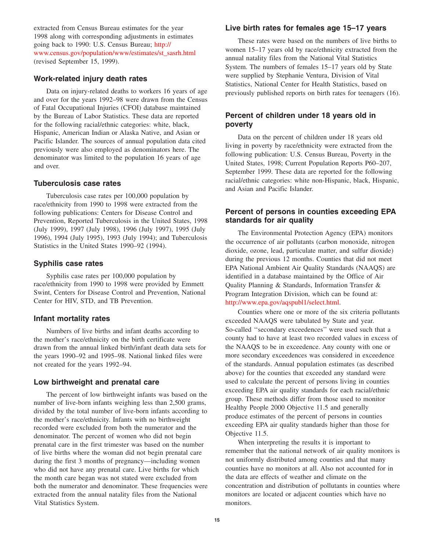extracted from Census Bureau estimates for the year 1998 along with corresponding adjustments in estimates going back to 1990: U.S. Census Bureau; http:// [www.census.gov/population/www/estimates/st\\_sasrh.html](http://eire.census.gov/popest/archives/state/st_sasrh.php)  (revised September 15, 1999).

## **Work-related injury death rates**

Data on injury-related deaths to workers 16 years of age and over for the years 1992–98 were drawn from the Census of Fatal Occupational Injuries (CFOI) database maintained by the Bureau of Labor Statistics. These data are reported for the following racial/ethnic categories: white, black, Hispanic, American Indian or Alaska Native, and Asian or Pacific Islander. The sources of annual population data cited previously were also employed as denominators here. The denominator was limited to the population 16 years of age and over.

## **Tuberculosis case rates**

Tuberculosis case rates per 100,000 population by race/ethnicity from 1990 to 1998 were extracted from the following publications: Centers for Disease Control and Prevention, Reported Tuberculosis in the United States, 1998 (July 1999), 1997 (July 1998), 1996 (July 1997), 1995 (July 1996), 1994 (July 1995), 1993 (July 1994); and Tuberculosis Statistics in the United States 1990–92 (1994).

## **Syphilis case rates**

Syphilis case rates per 100,000 population by race/ethnicity from 1990 to 1998 were provided by Emmett Swint, Centers for Disease Control and Prevention, National Center for HIV, STD, and TB Prevention.

### **Infant mortality rates**

Numbers of live births and infant deaths according to the mother's race/ethnicity on the birth certificate were drawn from the annual linked birth/infant death data sets for the years 1990–92 and 1995–98. National linked files were not created for the years 1992–94.

## **Low birthweight and prenatal care**

The percent of low birthweight infants was based on the number of live-born infants weighing less than 2,500 grams, divided by the total number of live-born infants according to the mother's race/ethnicity. Infants with no birthweight recorded were excluded from both the numerator and the denominator. The percent of women who did not begin prenatal care in the first trimester was based on the number of live births where the woman did not begin prenatal care during the first 3 months of pregnancy—including women who did not have any prenatal care. Live births for which the month care began was not stated were excluded from both the numerator and denominator. These frequencies were extracted from the annual natality files from the National Vital Statistics System.

## **Live birth rates for females age 15–17 years**

These rates were based on the numbers of live births to women 15–17 years old by race/ethnicity extracted from the annual natality files from the National Vital Statistics System. The numbers of females 15–17 years old by State were supplied by Stephanie Ventura, Division of Vital Statistics, National Center for Health Statistics, based on previously published reports on birth rates for teenagers (16).

## **Percent of children under 18 years old in poverty**

Data on the percent of children under 18 years old living in poverty by race/ethnicity were extracted from the following publication: U.S. Census Bureau, Poverty in the United States, 1998; Current Population Reports P60–207, September 1999. These data are reported for the following racial/ethnic categories: white non-Hispanic, black, Hispanic, and Asian and Pacific Islander.

## **Percent of persons in counties exceeding EPA standards for air quality**

The Environmental Protection Agency (EPA) monitors the occurrence of air pollutants (carbon monoxide, nitrogen dioxide, ozone, lead, particulate matter, and sulfur dioxide) during the previous 12 months. Counties that did not meet EPA National Ambient Air Quality Standards (NAAQS) are identified in a database maintained by the Office of Air Quality Planning & Standards, Information Transfer & Program Integration Division, which can be found at: [http://www.epa.gov/aqspubl1/select.html.](http://www.epa.gov/aqspubl1/select.html) 

Counties where one or more of the six criteria pollutants exceeded NAAQS were tabulated by State and year. So-called ''secondary exceedences'' were used such that a county had to have at least two recorded values in excess of the NAAQS to be in exceedence. Any county with one or more secondary exceedences was considered in exceedence of the standards. Annual population estimates (as described above) for the counties that exceeded any standard were used to calculate the percent of persons living in counties exceeding EPA air quality standards for each racial/ethnic group. These methods differ from those used to monitor Healthy People 2000 Objective 11.5 and generally produce estimates of the percent of persons in counties exceeding EPA air quality standards higher than those for Objective 11.5.

When interpreting the results it is important to remember that the national network of air quality monitors is not uniformly distributed among counties and that many counties have no monitors at all. Also not accounted for in the data are effects of weather and climate on the concentration and distribution of pollutants in counties where monitors are located or adjacent counties which have no monitors.